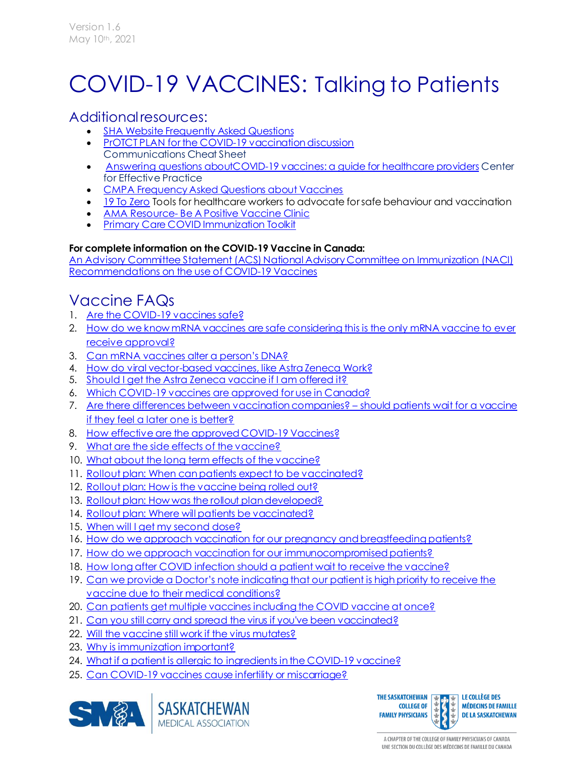# COVID-19 VACCINES: Talking to Patients

### Additional resources:

- **[SHA Website Frequently Asked Questions](https://www.saskatchewan.ca/government/health-care-administration-and-provider-resources/treatment-procedures-and-guidelines/emerging-public-health-issues/2019-novel-coronavirus/covid-19-vaccine/covid-19-vaccine-information)**
- [PrOTCT PLAN for the COVID-19 vaccination discussion](https://tools.cep.health/wp-content/uploads/2020/12/CEP_COVID-Framework_2020.12.18.pdf?utm_source=link.cep.health&utm_medium=urlshortener&utm_campaign=covid-vaccine) Communications Cheat Sheet
- [Answering questions aboutCOVID-19 vaccines: a guide for healthcare providers](https://tools.cep.health/wp-content/uploads/2020/12/CEP_COVID-OR_r4-Final.pdf?utm_source=link.cep.health&utm_medium=urlshortener&utm_campaign=covid-vaccine) Center for Effective Practice
- [CMPA Frequency Asked Questions about Vaccines](https://www.cmpa-acpm.ca/en/covid19/vaccination?utm_source=vac-eng&utm_medium=social-paid&utm_campaign=2021-covid-hub)
- [19 To Zero](https://www.19tozero.ca/) Tools for healthcare workers to advocate for safe behaviour and vaccination
- AMA Resource- [Be A Positive Vaccine Clinic](https://www.albertadoctors.org/about/COVID-19/vaccine-positive-clinic-toolkit)
- **[Primary Care COVID Immunization Toolkit](https://www.covidtoolkit.ca/)**

#### **For complete information on the COVID-19 Vaccine in Canada:**

[An Advisory Committee Statement \(ACS\) National Advisory Committee on Immunization \(NACI\)](https://www.canada.ca/en/public-health/services/immunization/national-advisory-committee-on-immunization-naci/recommendations-use-covid-19-vaccines.html)  [Recommendations on the use of COVID-19 Vaccines](https://www.canada.ca/en/public-health/services/immunization/national-advisory-committee-on-immunization-naci/recommendations-use-covid-19-vaccines.html)

## Vaccine FAQs

- 1. [Are the COVID-19 vaccines safe?](#page-1-0)
- 2. [How do we know mRNA vaccines are safe considering this is the only mRNA vaccine to ever](#page-1-1)  [receive approval?](#page-1-1)
- 3. [Can mRNA vaccines alter a person's DNA?](#page-2-0)
- 4. [How do viral vector-based vaccines, like Astra Zeneca Work?](#page-2-1)
- 5. [Should I get the Astra Zeneca vaccine if I am offered it?](#page-2-2)
- 6. [Which COVID-19 vaccines are approved for use in Canada?](#page-3-0)
- 7. [Are there differences between vaccination companies?](#page-3-1)  should patients wait for a vaccine [if they feel a later one is better?](#page-3-1)
- 8. [How effective are the approved COVID-19 Vaccines?](#page-3-2)
- 9. [What are the side effects of the vaccine?](#page-4-0)
- 10. [What about the long term effects of the vaccine?](#page-4-1)
- 11. [Rollout plan: When can patients expect to be vaccinated?](#page-5-0)
- 12. [Rollout plan: How is the vaccine being rolled out?](#page-6-0)
- 13. [Rollout plan: How was the rollout plan developed?](#page-7-0)
- 14. Rollout plan: Where [will patients be vaccinated?](#page-7-1)
- 15. [When will I get my second dose?](#page-7-2)
- 16. [How do we approach vaccination for our pregnancy and breastfeeding patients?](#page-8-0)
- 17. [How do we approach vaccination for our immunocompromised patients?](#page-8-1)
- 18. [How long after COVID infection should a patient wait to receive the vaccine?](#page-9-0)
- 19. Can we provide a Doctor's note indicating that our patient is high priority to receive the [vaccine due to their medical conditions?](#page-10-0)
- 20. [Can patients get multiple vaccines including the COVID vaccine at once?](#page-10-1)
- 21. [Can you still carry and spread the virus if you've been vaccinated?](#page-11-0)
- 22. [Will the vaccine still work if the virus mutates?](#page-11-1)
- 23. [Why is immunization important?](#page-11-2)
- 24. [What if a patient is allergic to ingredients in the COVID-19 vaccine?](#page-12-0)
- 25. [Can COVID-19 vaccines cause infertility or miscarriage?](#page-13-0)



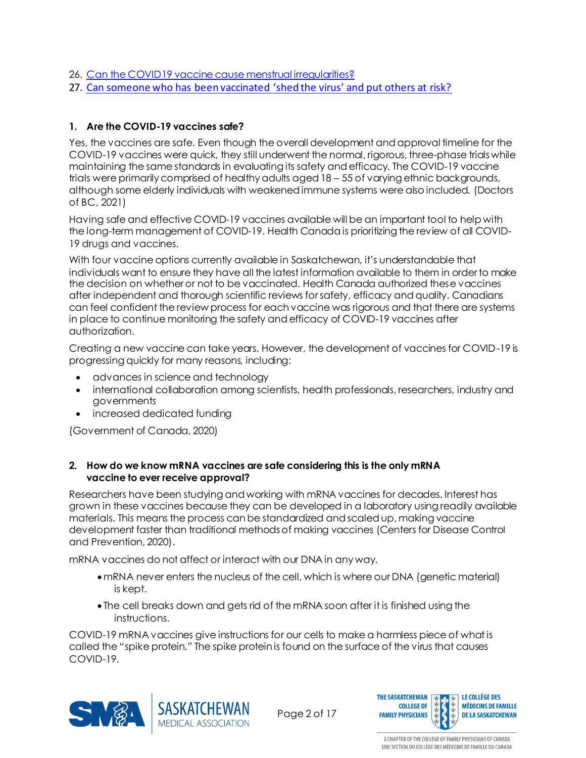- 26. [Can the COVID19 vaccine cause menstrual irregularities?](#page-14-0)
- 27. [Can someone who has been vaccinated 'shed the virus' and put others at risk?](#page-14-1)

#### <span id="page-1-0"></span>**1. Are the COVID-19 vaccines safe?**

Yes, the vaccines are safe. Even though the overall development and approval timeline for the COVID-19 vaccines were quick, they still underwent the normal, rigorous, three-phase trials while maintaining the same standards in evaluating its safety and efficacy. The COVID-19 vaccine trials were primarily comprised of healthy adults aged 18 – 55 of varying ethnic backgrounds, although some elderly individuals with weakened immune systems were also included. (Doctors of BC, 2021)

Having safe and effective COVID-19 vaccines available will be an important tool to help with the long-term management of COVID-19. Health Canada is prioritizing the review of all COVID-19 drugs and vaccines.

With four vaccine options currently available in Saskatchewan, it's understandable that individuals want to ensure they have all the latest information available to them in order to make the decision on whether or not to be vaccinated. Health Canada authorized these vaccines after independent and thorough scientific reviews for safety, efficacy and quality. Canadians can feel confident the review process for each vaccine was rigorous and that there are systems in place to continue monitoring the safety and efficacy of COVID-19 vaccines after authorization.

Creating a new vaccine can take years. However, the development of vaccines for COVID-19 is progressing quickly for many reasons, including:

- advances in science and technology
- international collaboration among scientists, health professionals, researchers, industry and governments
- increased dedicated funding

(Government of Canada, 2020)

#### <span id="page-1-1"></span>**2. How do we know mRNA vaccines are safe considering this is the only mRNA vaccine to ever receive approval?**

Researchers have been studying and working with mRNA vaccines for decades. Interest has grown in these vaccines because they can be developed in a laboratory using readily available materials. This means the process can be standardized and scaled up, making vaccine development faster than traditional methods of making vaccines (Centers for Disease Control and Prevention, 2020).

mRNA vaccines do not affect or interact with our DNA in any way.

- mRNA never enters the nucleus of the cell, which is where our DNA (genetic material) is kept.
- The cell breaks down and gets rid of the mRNA soon after it is finished using the instructions.

COVID-19 mRNA vaccines give instructions for our cells to make a harmless piece of what is called the "spike protein." The spike protein is found on the surface of the virus that causes COVID-19.



Page 2 of 17

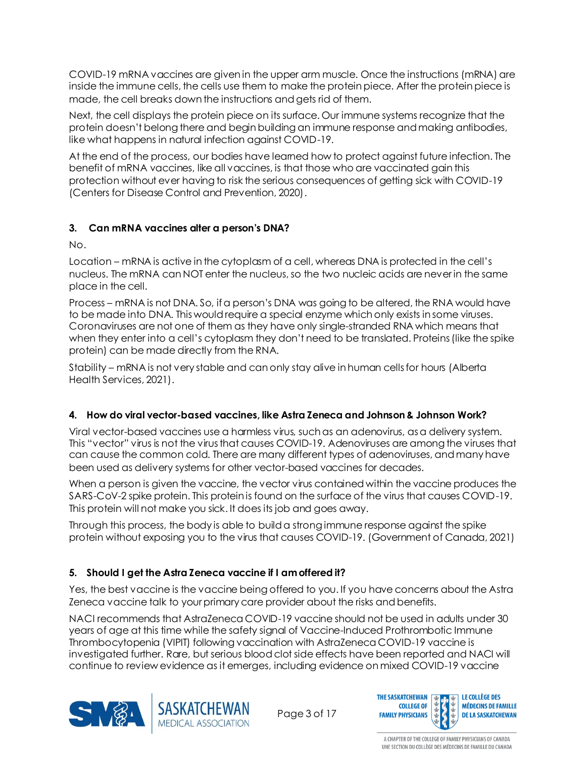COVID-19 mRNA vaccines are given in the upper arm muscle. Once the instructions (mRNA) are inside the immune cells, the cells use them to make the protein piece. After the protein piece is made, the cell breaks down the instructions and gets rid of them.

Next, the cell displays the protein piece on its surface. Our immune systems recognize that the protein doesn't belong there and begin building an immune response and making antibodies, like what happens in natural infection against COVID-19.

At the end of the process, our bodies have learned how to protect against future infection. The benefit of mRNA vaccines, like all vaccines, is that those who are vaccinated gain this protection without ever having to risk the serious consequences of getting sick with COVID-19 (Centers for Disease Control and Prevention, 2020).

#### <span id="page-2-0"></span>**3. Can mRNA vaccines alter a person's DNA?**

No.

Location – mRNA is active in the cytoplasm of a cell, whereas DNA is protected in the cell's nucleus. The mRNA can NOT enter the nucleus, so the two nucleic acids are never in the same place in the cell.

Process – mRNA is not DNA. So, if a person's DNA was going to be altered, the RNA would have to be made into DNA. This would require a special enzyme which only exists in some viruses. Coronaviruses are not one of them as they have only single-stranded RNA which means that when they enter into a cell's cytoplasm they don't need to be translated. Proteins (like the spike protein) can be made directly from the RNA.

Stability – mRNA is not very stable and can only stay alive in human cells for hours (Alberta Health Services, 2021).

#### <span id="page-2-1"></span>**4. How do viral vector-based vaccines, like Astra Zeneca and Johnson & Johnson Work?**

Viral vector-based vaccines use a harmless virus, such as an adenovirus, as a delivery system. This "vector" virus is not the virus that causes COVID-19. Adenoviruses are among the viruses that can cause the common cold. There are many different types of adenoviruses, and many have been used as delivery systems for other vector-based vaccines for decades.

When a person is given the vaccine, the vector virus contained within the vaccine produces the SARS-CoV-2 spike protein. This protein is found on the surface of the virus that causes COVID-19. This protein will not make you sick. It does its job and goes away.

Through this process, the body is able to build a strong immune response against the spike protein without exposing you to the virus that causes COVID-19. (Government of Canada, 2021)

#### <span id="page-2-2"></span>**5. Should I get the Astra Zeneca vaccine if I am offered it?**

Yes, the best vaccine is the vaccine being offered to you. If you have concerns about the Astra Zeneca vaccine talk to your primary care provider about the risks and benefits.

NACI recommends that AstraZeneca COVID-19 vaccine should not be used in adults under 30 years of age at this time while the safety signal of Vaccine-Induced Prothrombotic Immune Thrombocytopenia (VIPIT) following vaccination with AstraZeneca COVID-19 vaccine is investigated further. Rare, but serious blood clot side effects have been reported and NACI will continue to review evidence as it emerges, including evidence on mixed COVID-19 vaccine





Page 3 of 17

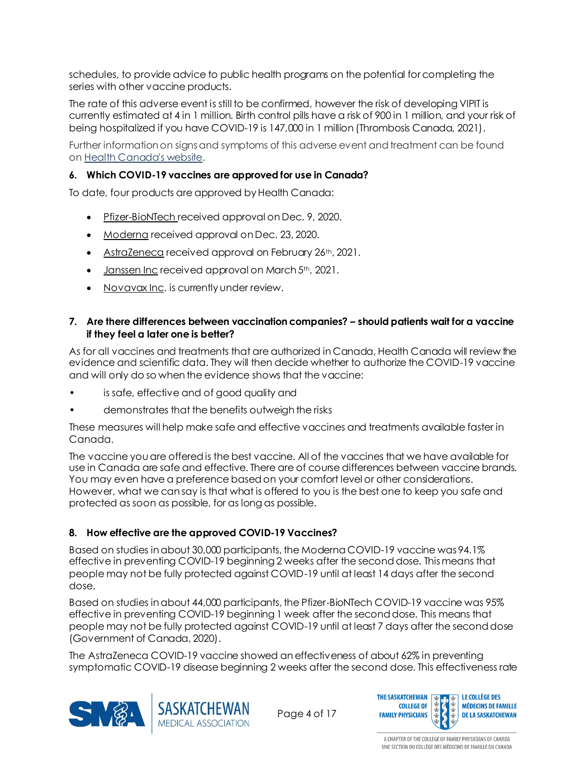schedules, to provide advice to public health programs on the potential for completing the series with other vaccine products.

The rate of this adverse event is still to be confirmed, however the risk of developing VIPIT is currently estimated at 4 in 1 million. Birth control pills have a risk of 900 in 1 million, and your risk of being hospitalized if you have COVID-19 is 147,000 in 1 million (Thrombosis Canada, 2021).

Further information on signs and symptoms of this adverse event and treatment can be found on [Health Canada's website.](https://healthycanadians.gc.ca/recall-alert-rappel-avis/hc-sc/2021/75211a-eng.php)

#### <span id="page-3-0"></span>**6. Which COVID-19 vaccines are approved for use in Canada?**

To date, four products are approved by Health Canada:

- [Pfizer-BioNTech](https://www.canada.ca/en/health-canada/services/drugs-health-products/covid19-industry/drugs-vaccines-treatments/vaccines/pfizer-biontech.html) received approval on Dec. 9, 2020.
- [Moderna](https://www.canada.ca/en/health-canada/services/drugs-health-products/covid19-industry/drugs-vaccines-treatments/vaccines/moderna.html) received approval on Dec. 23, 2020.
- [AstraZeneca](https://www.canada.ca/en/health-canada/services/drugs-health-products/covid19-industry/drugs-vaccines-treatments/vaccines/astrazeneca.html) received approval on February 26<sup>th</sup>, 2021.
- [Janssen Inc](https://www.canada.ca/en/health-canada/services/drugs-health-products/covid19-industry/drugs-vaccines-treatments/vaccines/janssen.html) received approval on March 5<sup>th</sup>, 2021.
- [Novavax Inc](https://www.novavax.com/resources). is currently under review.

#### <span id="page-3-1"></span>**7. Are there differences between vaccination companies? – should patients wait for a vaccine if they feel a later one is better?**

As for all vaccines and treatments that are authorized in Canada, Health Canada will review the evidence and scientific data. They will then decide whether to authorize the COVID-19 vaccine and will only do so when the evidence shows that the vaccine:

- is safe, effective and of good quality and
- demonstrates that the benefits outweigh the risks

These measures will help make safe and effective vaccines and treatments available faster in Canada.

The vaccine you are offered is the best vaccine. All of the vaccines that we have available for use in Canada are safe and effective. There are of course differences between vaccine brands. You may even have a preference based on your comfort level or other considerations. However, what we can say is that what is offered to you is the best one to keep you safe and protected as soon as possible, for as long as possible.

#### <span id="page-3-2"></span>**8. How effective are the approved COVID-19 Vaccines?**

Based on studies in about 30,000 participants, the Moderna COVID-19 vaccine was 94.1% effective in preventing COVID-19 beginning 2 weeks after the second dose. This means that people may not be fully protected against COVID-19 until at least 14 days after the second dose.

Based on studies in about 44,000 participants, the Pfizer-BioNTech COVID-19 vaccine was 95% effective in preventing COVID-19 beginning 1 week after the second dose. This means that people may not be fully protected against COVID-19 until at least 7 days after the second dose (Government of Canada, 2020).

The AstraZeneca COVID-19 vaccine showed an effectiveness of about 62% in preventing





Page 4 of 17

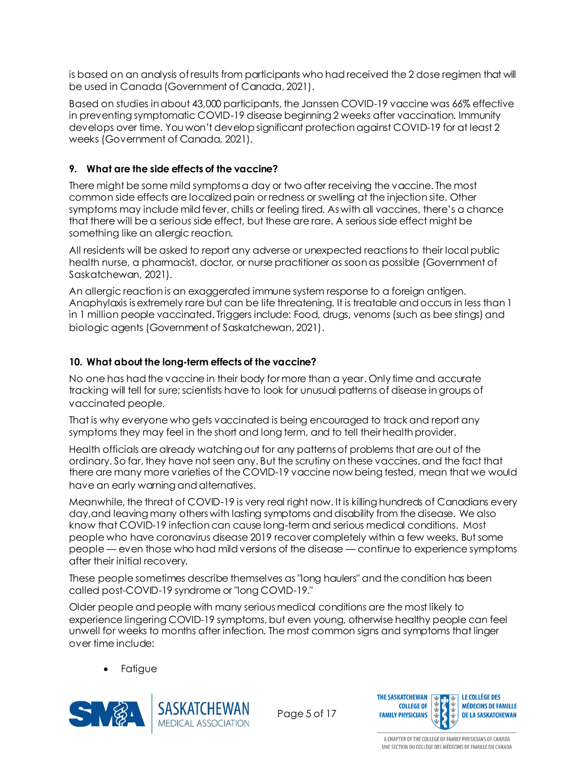is based on an analysis of results from participants who had received the 2 dose regimen that will be used in Canada (Government of Canada, 2021).

Based on studies in about 43,000 participants, the Janssen COVID-19 vaccine was 66% effective in preventing symptomatic COVID-19 disease beginning 2 weeks after vaccination. Immunity develops over time. You won't develop significant protection against COVID-19 for at least 2 weeks (Government of Canada, 2021).

#### <span id="page-4-0"></span>**9. What are the side effects of the vaccine?**

There might be some mild symptoms a day or two after receiving the vaccine. The most common side effects are localized pain or redness or swelling at the injection site. Other symptoms may include mild fever, chills or feeling tired. As with all vaccines, there's a chance that there will be a serious side effect, but these are rare. A serious side effect might be something like an allergic reaction.

All residents will be asked to report any adverse or unexpected reactions to their local public health nurse, a pharmacist, doctor, or nurse practitioner as soon as possible (Government of Saskatchewan, 2021).

An allergic reaction is an exaggerated immune system response to a foreign antigen. Anaphylaxis is extremely rare but can be life threatening. It is treatable and occurs in less than 1 in 1 million people vaccinated. Triggers include: Food, drugs, venoms (such as bee stings) and biologic agents (Government of Saskatchewan, 2021).

#### <span id="page-4-1"></span>**10. What about the long-term effects of the vaccine?**

No one has had the vaccine in their body for more than a year. Only time and accurate tracking will tell for sure; scientists have to look for unusual patterns of disease in groups of vaccinated people.

That is why everyone who gets vaccinated is being encouraged to track and report any symptoms they may feel in the short and long term, and to tell their health provider.

Health officials are already watching out for any patterns of problems that are out of the ordinary. So far, they have not seen any. But the scrutiny on these vaccines, and the fact that there are many more varieties of the COVID-19 vaccine now being tested, mean that we would have an early warning and alternatives.

Meanwhile, the threat of COVID-19 is very real right now. It is killing hundreds of Canadians every day,and leaving many others with lasting symptoms and disability from the disease. We also know that COVID-19 infection can cause long-term and serious medical conditions. Most people who have coronavirus disease 2019 recover completely within a few weeks. But some people — even those who had mild versions of the disease — continue to experience symptoms after their initial recovery.

These people sometimes describe themselves as "long haulers" and the condition has been called post-COVID-19 syndrome or "long COVID-19."

Older people and people with many serious medical conditions are the most likely to experience lingering COVID-19 symptoms, but even young, otherwise healthy people can feel unwell for weeks to months after infection. The most common signs and symptoms that linger over time include:

**Fatigue** 



Page 5 of 17

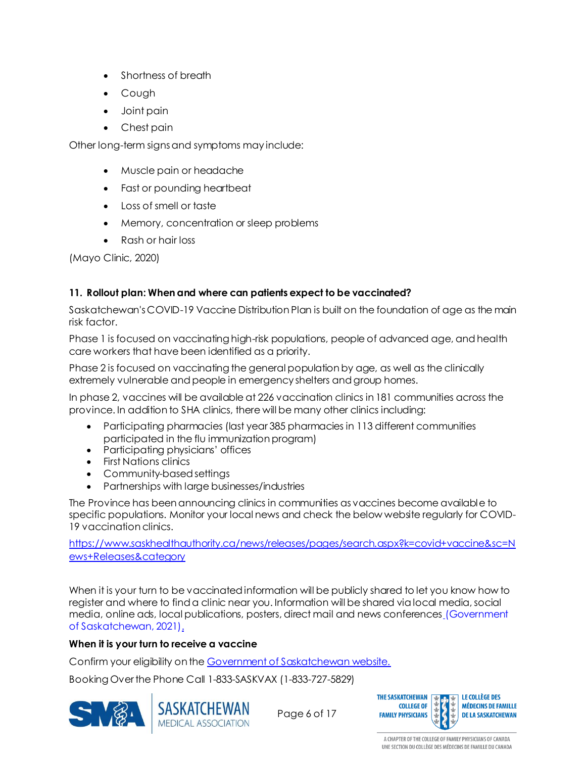- Shortness of breath
- Cough
- Joint pain
- Chest pain

Other long-term signs and symptoms may include:

- Muscle pain or headache
- Fast or pounding heartbeat
- Loss of smell or taste
- Memory, concentration or sleep problems
- Rash or hair loss

(Mayo Clinic, 2020)

#### <span id="page-5-0"></span>**11. Rollout plan: When and where can patients expect to be vaccinated?**

Saskatchewan's COVID-19 Vaccine Distribution Plan is built on the foundation of age as the main risk factor.

Phase 1 is focused on vaccinating high-risk populations, people of advanced age, and health care workers that have been identified as a priority.

Phase 2 is focused on vaccinating the general population by age, as well as the clinically extremely vulnerable and people in emergency shelters and group homes.

In phase 2, vaccines will be available at 226 vaccination clinics in 181 communities across the province. In addition to SHA clinics, there will be many other clinics including:

- Participating pharmacies (last year 385 pharmacies in 113 different communities participated in the flu immunization program)
- Participating physicians' offices
- First Nations clinics
- Community-based settings
- Partnerships with large businesses/industries

The Province has been announcing clinics in communities as vaccines become available to specific populations. Monitor your local news and check the below website regularly for COVID-19 vaccination clinics.

[https://www.saskhealthauthority.ca/news/releases/pages/search.aspx?k=covid+vaccine&sc=N](https://www.saskhealthauthority.ca/news/releases/pages/search.aspx?k=covid+vaccine&sc=News+Releases&category) [ews+Releases&category](https://www.saskhealthauthority.ca/news/releases/pages/search.aspx?k=covid+vaccine&sc=News+Releases&category)

When it is your turn to be vaccinated information will be publicly shared to let you know how to register and where to find a clinic near you. Information will be shared via local media, social media, online ads, local publications, posters, direct mail and news conferences (Government of Saskatchewan, 2021).

#### **When it is your turn to receive a vaccine**

Confirm your eligibility on th[e Government of Saskatchewan website.](https://www.saskatchewan.ca/government/health-care-administration-and-provider-resources/treatment-procedures-and-guidelines/emerging-public-health-issues/2019-novel-coronavirus/covid-19-vaccine/vaccine-booking)

Booking Over the Phone Call 1-833-SASKVAX (1-833-727-5829)





Page 6 of 17

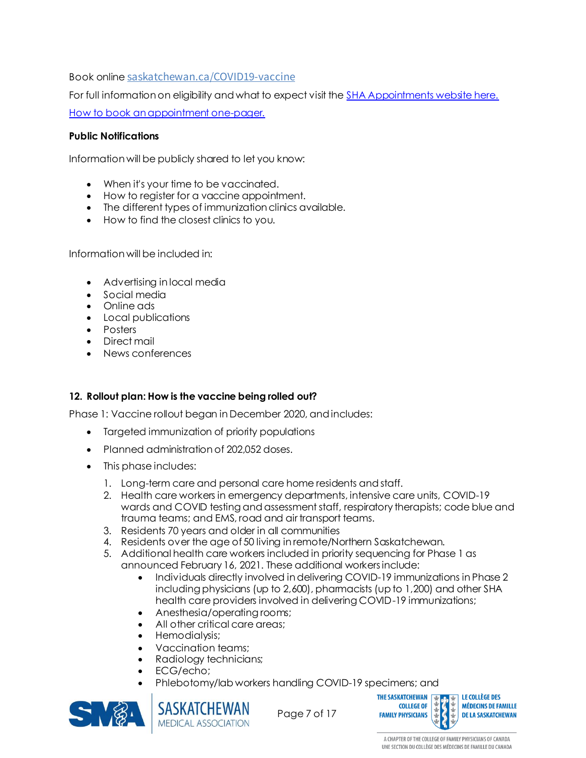Book online [saskatchewan.ca/COVID19-vaccine](http://www.saskatchewan.ca/COVID19-vaccine)

For full information on eligibility and what to expect visit th[e SHA Appointments website here.](https://www.saskatchewan.ca/government/health-care-administration-and-provider-resources/treatment-procedures-and-guidelines/emerging-public-health-issues/2019-novel-coronavirus/covid-19-vaccine/vaccine-booking) [How to book an appointment one-pager.](https://www.saskatchewan.ca/-/media/files/coronavirus/vaccine/booking/booking-online-is-fast-and-easy.pdf)

#### **Public Notifications**

Information will be publicly shared to let you know:

- When it's your time to be vaccinated.
- How to register for a vaccine appointment.
- The different types of immunization clinics available.
- How to find the closest clinics to you.

Information will be included in:

- Advertising in local media
- Social media
- Online ads
- Local publications
- Posters
- Direct mail
- News conferences

#### <span id="page-6-0"></span>**12. Rollout plan: How is the vaccine being rolled out?**

Phase 1: Vaccine rollout began in December 2020, and includes:

- Targeted immunization of priority populations
- Planned administration of 202,052 doses.
- This phase includes:
	- 1. Long-term care and personal care home residents and staff.
	- 2. Health care workers in emergency departments, intensive care units, COVID-19 wards and COVID testing and assessment staff, respiratory therapists; code blue and trauma teams; and EMS, road and air transport teams.
	- 3. Residents 70 years and older in all communities
	- 4. Residents over the age of 50 living in remote/Northern Saskatchewan.
	- 5. Additional health care workers included in priority sequencing for Phase 1 as announced February 16, 2021. These additional workers include:
		- Individuals directly involved in delivering COVID-19 immunizations in Phase 2 including physicians (up to 2,600), pharmacists (up to 1,200) and other SHA health care providers involved in delivering COVID-19 immunizations;
		- Anesthesia/operating rooms;
		- All other critical care areas;
		- Hemodialysis;
		- Vaccination teams;
		- Radiology technicians;
		- ECG/echo;
		- Phlebotomy/lab workers handling COVID-19 specimens; and



Page 7 of 17



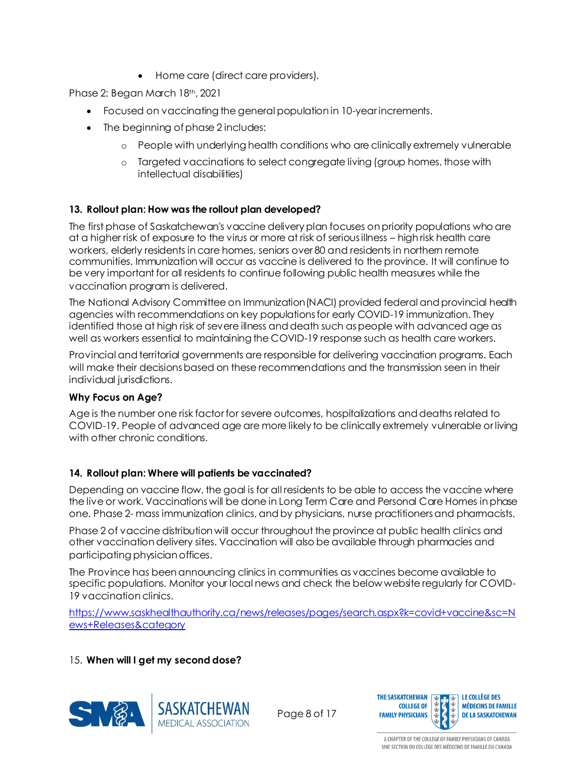• Home care (direct care providers).

Phase 2: Began March 18th, 2021

- Focused on vaccinating the general population in 10-year increments.
- The beginning of phase 2 includes:
	- o People with underlying health conditions who are clinically extremely vulnerable
	- o Targeted vaccinations to select congregate living (group homes, those with intellectual disabilities)

#### <span id="page-7-0"></span>**13. Rollout plan: How was the rollout plan developed?**

The first phase of Saskatchewan's vaccine delivery plan focuses on priority populations who are at a higher risk of exposure to the virus or more at risk of serious illness – high risk health care workers, elderly residents in care homes, seniors over 80 and residents in northern remote communities. Immunization will occur as vaccine is delivered to the province. It will continue to be very important for all residents to continue following public health measures while the vaccination program is delivered.

The National Advisory Committee on Immunization(NACI) provided federal and provincial health agencies with recommendations on key populations for early COVID-19 immunization. They identified those at high risk of severe illness and death such as people with advanced age as well as workers essential to maintaining the COVID-19 response such as health care workers.

Provincial and territorial governments are responsible for delivering vaccination programs. Each will make their decisions based on these recommendations and the transmission seen in their individual jurisdictions.

#### **Why Focus on Age?**

Age is the number one risk factor for severe outcomes, hospitalizations and deaths related to COVID-19. People of advanced age are more likely to be clinically extremely vulnerable or living with other chronic conditions.

#### <span id="page-7-1"></span>**14. Rollout plan: Where will patients be vaccinated?**

Depending on vaccine flow, the goal is for all residents to be able to access the vaccine where the live or work. Vaccinations will be done in Long Term Care and Personal Care Homes in phase one. Phase 2- mass immunization clinics, and by physicians, nurse practitioners and pharmacists.

Phase 2 of vaccine distribution will occur throughout the province at public health clinics and other vaccination delivery sites. Vaccination will also be available through pharmacies and participating physician offices.

The Province has been announcing clinics in communities as vaccines become available to specific populations. Monitor your local news and check the below website regularly for COVID-19 vaccination clinics.

<span id="page-7-2"></span>[https://www.saskhealthauthority.ca/news/releases/pages/search.aspx?k=covid+vaccine&sc=N](https://www.saskhealthauthority.ca/news/releases/pages/search.aspx?k=covid+vaccine&sc=News+Releases&category) [ews+Releases&category](https://www.saskhealthauthority.ca/news/releases/pages/search.aspx?k=covid+vaccine&sc=News+Releases&category)

#### 15. **When will I get my second dose?**



Page 8 of 17

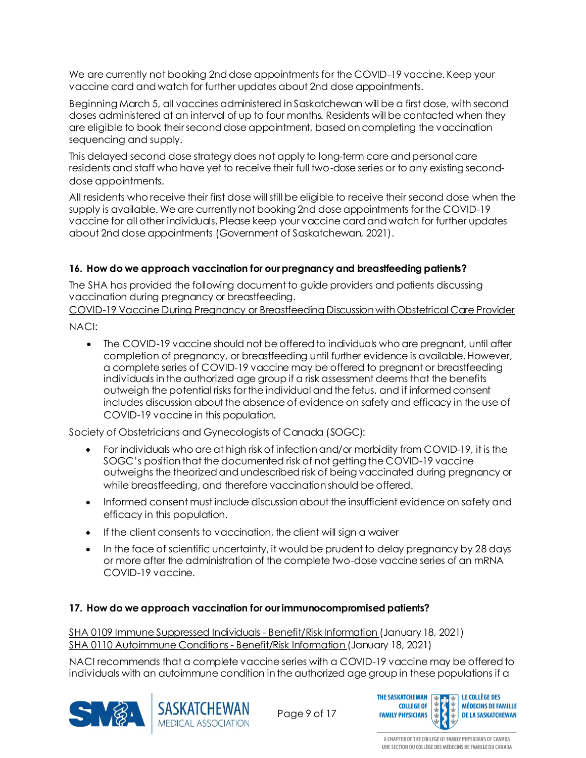We are currently not booking 2nd dose appointments for the COVID-19 vaccine. Keep your vaccine card and watch for further updates about 2nd dose appointments.

Beginning March 5, all vaccines administered in Saskatchewan will be a first dose, with second doses administered at an interval of up to four months. Residents will be contacted when they are eligible to book their second dose appointment, based on completing the vaccination sequencing and supply.

This delayed second dose strategy does not apply to long-term care and personal care residents and staff who have yet to receive their full two-dose series or to any existing seconddose appointments.

All residents who receive their first dose will still be eligible to receive their second dose when the supply is available. We are currently not booking 2nd dose appointments for the COVID-19 vaccine for all other individuals. Please keep your vaccine card and watch for further updates about 2nd dose appointments (Government of Saskatchewan, 2021).

#### <span id="page-8-0"></span>**16. How do we approach vaccination for our pregnancy and breastfeeding patients?**

The SHA has provided the following document to guide providers and patients discussing vaccination during pregnancy or breastfeeding.

COVID-19 Vaccine During Pregnancy or Breastfeeding [Discussion with Obstetrical Care Provider](https://www.saskhealthauthority.ca/news/service-alerts-emergency-events/covid-19/vaccine-info-health-care-providers/Documents/General/CV-19-G0096-COVID-19-Vaccine-During-Pregnancy-Breastfeeding-w-Appendix.pdf)

NACI:

• The COVID-19 vaccine should not be offered to individuals who are pregnant, until after completion of pregnancy, or breastfeeding until further evidence is available. However, a complete series of COVID-19 vaccine may be offered to pregnant or breastfeeding individuals in the authorized age group if a risk assessment deems that the benefits outweigh the potential risks for the individual and the fetus, and if informed consent includes discussion about the absence of evidence on safety and efficacy in the use of COVID-19 vaccine in this population.

Society of Obstetricians and Gynecologists of Canada (SOGC):

- For individuals who are at high risk of infection and/or morbidity from COVID-19, it is the SOGC's position that the documented risk of not getting the COVID-19 vaccine outweighs the theorized and undescribed risk of being vaccinated during pregnancy or while breastfeeding, and therefore vaccination should be offered.
- Informed consent must include discussion about the insufficient evidence on safety and efficacy in this population.
- If the client consents to vaccination, the client will sign a waiver
- In the face of scientific uncertainty, it would be prudent to delay pregnancy by 28 days or more after the administration of the complete two-dose vaccine series of an mRNA COVID-19 vaccine.

#### <span id="page-8-1"></span>**17. How do we approach vaccination for our immunocompromised patients?**

SHA 0109 [Immune Suppressed Individuals -](https://www.saskhealthauthority.ca/news/service-alerts-emergency-events/covid-19/vaccine-info-health-care-providers/Documents/Vaccine%20Consent/SHA-0109-Benefit-Risk-Info-Immune-Suppressed-COVID-19-Vaccine.pdf) Benefit/Risk Information (January 18, 2021) SHA 0110 [Autoimmune Conditions -](https://www.saskhealthauthority.ca/news/service-alerts-emergency-events/covid-19/vaccine-info-health-care-providers/Documents/Vaccine%20Consent/SHA-0110-Benefit-Risk-Info-Autoimmune-Condition-COVID-19-Vaccine.pdf) Benefit/Risk Information (January 18, 2021)

NACI recommends that a complete vaccine series with a COVID-19 vaccine may be offered to





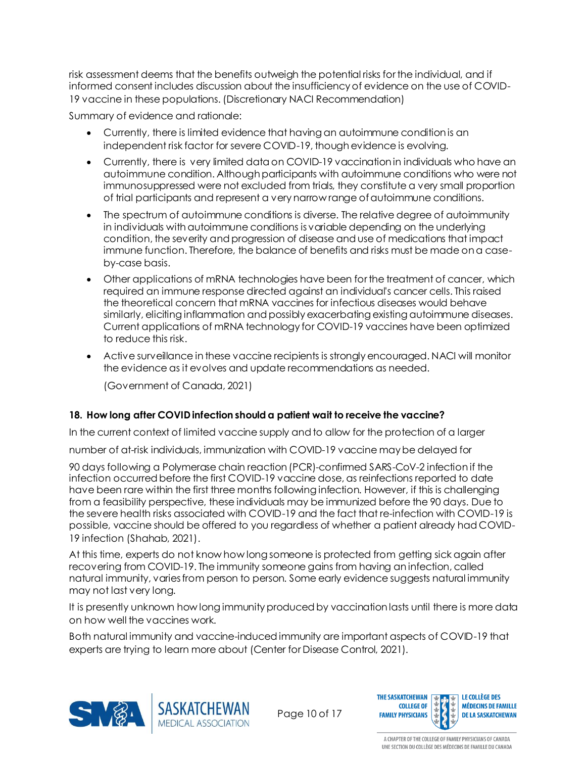risk assessment deems that the benefits outweigh the potential risks for the individual, and if informed consent includes discussion about the insufficiency of evidence on the use of COVID-19 vaccine in these populations. (Discretionary NACI Recommendation)

Summary of evidence and rationale:

- Currently, there is limited evidence that having an autoimmune condition is an independent risk factor for severe COVID-19, though evidence is evolving.
- Currently, there is very limited data on COVID-19 vaccination in individuals who have an autoimmune condition. Although participants with autoimmune conditions who were not immunosuppressed were not excluded from trials, they constitute a very small proportion of trial participants and represent a very narrow range of autoimmune conditions.
- The spectrum of autoimmune conditions is diverse. The relative degree of autoimmunity in individuals with autoimmune conditions is variable depending on the underlying condition, the severity and progression of disease and use of medications that impact immune function. Therefore, the balance of benefits and risks must be made on a caseby-case basis.
- Other applications of mRNA technologies have been for the treatment of cancer, which required an immune response directed against an individual's cancer cells. This raised the theoretical concern that mRNA vaccines for infectious diseases would behave similarly, eliciting inflammation and possibly exacerbating existing autoimmune diseases. Current applications of mRNA technology for COVID-19 vaccines have been optimized to reduce this risk.
- Active surveillance in these vaccine recipients is strongly encouraged. NACI will monitor the evidence as it evolves and update recommendations as needed.

(Government of Canada, 2021)

#### <span id="page-9-0"></span>**18. How long after COVID infection should a patient wait to receive the vaccine?**

In the current context of limited vaccine supply and to allow for the protection of a larger

number of at-risk individuals, immunization with COVID-19 vaccine may be delayed for

90 days following a Polymerase chain reaction (PCR)-confirmed SARS-CoV-2 infection if the infection occurred before the first COVID-19 vaccine dose, as reinfections reported to date have been rare within the first three months following infection. However, if this is challenging from a feasibility perspective, these individuals may be immunized before the 90 days. Due to the severe health risks associated with COVID-19 and the fact that re-infection with COVID-19 is possible, vaccine should be offered to you regardless of whether a patient already had COVID-19 infection (Shahab, 2021).

At this time, experts do not know how long someone is protected from getting sick again after recovering from COVID-19. The immunity someone gains from having an infection, called natural immunity, varies from person to person. Some early evidence suggests natural immunity may not last very long.

It is presently unknown how long immunity produced by vaccination lasts until there is more data on how well the vaccines work.

Both natural immunity and vaccine-induced immunity are important aspects of COVID-19 that experts are trying to learn more about (Center for Disease Control, 2021).



Page 10 of 17

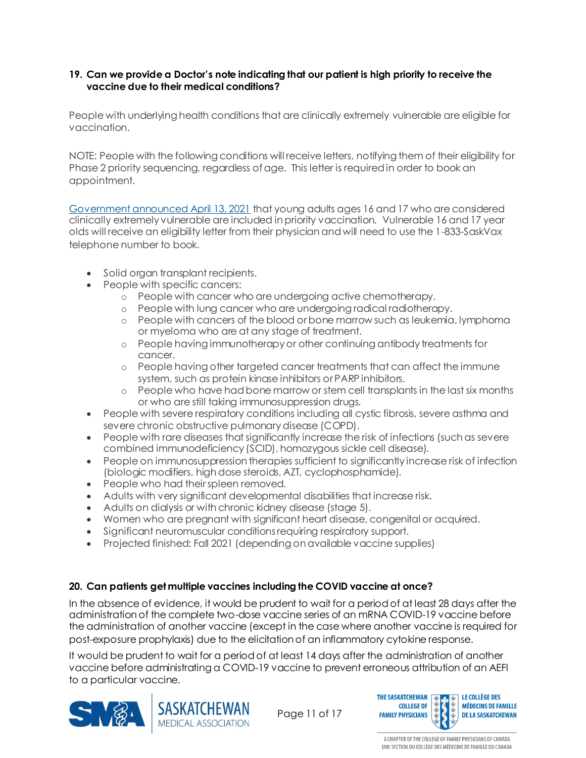#### <span id="page-10-0"></span>**19. Can we provide a Doctor's note indicating that our patient is high priority to receive the vaccine due to their medical conditions?**

People with underlying health conditions that are clinically extremely vulnerable are eligible for vaccination.

NOTE: People with the following conditions will receive letters, notifying them of their eligibility for Phase 2 priority sequencing, regardless of age. This letter is required in order to book an appointment.

[Government announced April 13, 2021](https://www.saskatchewan.ca/government/news-and-media/2021/april/13/covid19-update-for-april-13-298767-vaccines-administered-288-new-cases-280-recoveries-two-new-deaths) that young adults ages 16 and 17 who are considered clinically extremely vulnerable are included in priority vaccination. Vulnerable 16 and 17 year olds will receive an eligibility letter from their physician and will need to use the 1-833-SaskVax telephone number to book.

- Solid organ transplant recipients.
- People with specific cancers:
	- o People with cancer who are undergoing active chemotherapy.
	- o People with lung cancer who are undergoing radical radiotherapy.
	- o People with cancers of the blood or bone marrow such as leukemia, lymphoma or myeloma who are at any stage of treatment.
	- o People having immunotherapy or other continuing antibody treatments for cancer.
	- o People having other targeted cancer treatments that can affect the immune system, such as protein kinase inhibitors or PARP inhibitors.
	- o People who have had bone marrow or stem cell transplants in the last six months or who are still taking immunosuppression drugs.
- People with severe respiratory conditions including all cystic fibrosis, severe asthma and severe chronic obstructive pulmonary disease (COPD).
- People with rare diseases that significantly increase the risk of infections (such as severe combined immunodeficiency (SCID), homozygous sickle cell disease).
- People on immunosuppression therapies sufficient to significantly increase risk of infection (biologic modifiers, high dose steroids, AZT, cyclophosphamide).
- People who had their spleen removed.
- Adults with very significant developmental disabilities that increase risk.
- Adults on dialysis or with chronic kidney disease (stage 5).
- Women who are pregnant with significant heart disease, congenital or acquired.
- Significant neuromuscular conditions requiring respiratory support.
- Projected finished: Fall 2021 (depending on available vaccine supplies)

#### <span id="page-10-1"></span>**20. Can patients get multiple vaccines including the COVID vaccine at once?**

In the absence of evidence, it would be prudent to wait for a period of at least 28 days after the administration of the complete two-dose vaccine series of an mRNA COVID-19 vaccine before the administration of another vaccine (except in the case where another vaccine is required for post-exposure prophylaxis) due to the elicitation of an inflammatory cytokine response.

It would be prudent to wait for a period of at least 14 days after the administration of another vaccine before administrating a COVID-19 vaccine to prevent erroneous attribution of an AEFI to a particular vaccine.





Page 11 of 17

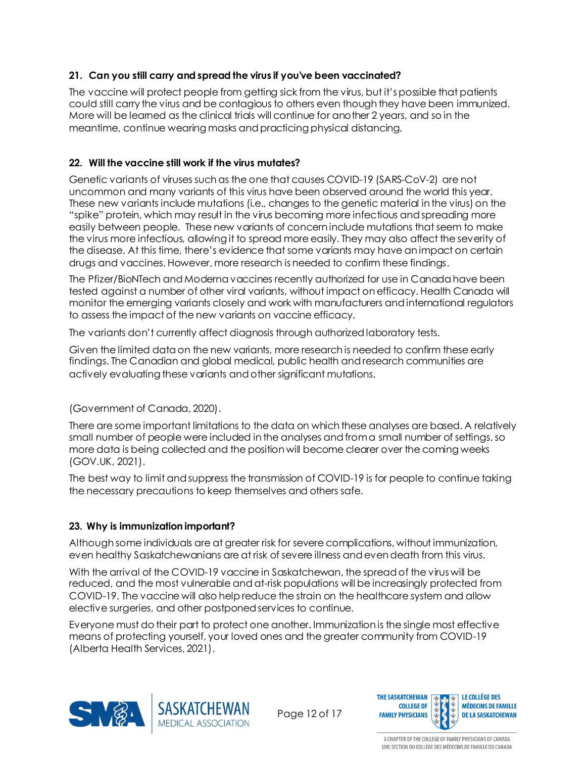#### <span id="page-11-0"></span>**21. Can you still carry and spread the virus if you've been vaccinated?**

The vaccine will protect people from getting sick from the virus, but it's possible that patients could still carry the virus and be contagious to others even though they have been immunized. More will be learned as the clinical trials will continue for another 2 years, and so in the meantime, continue wearing masks and practicing physical distancing.

#### <span id="page-11-1"></span>**22. Will the vaccine still work if the virus mutates?**

Genetic variants of viruses such as the one that causes COVID-19 (SARS-CoV-2) are not uncommon and many variants of this virus have been observed around the world this year. These new variants include mutations (i.e., changes to the genetic material in the virus) on the "spike" protein, which may result in the virus becoming more infectious and spreading more easily between people. These new variants of concern include mutations that seem to make the virus more infectious, allowing it to spread more easily. They may also affect the severity of the disease. At this time, there's evidence that some variants may have an impact on certain drugs and vaccines. However, more research is needed to confirm these findings.

The Pfizer/BioNTech and Moderna vaccines recently authorized for use in Canada have been tested against a number of other viral variants, without impact on efficacy. Health Canada will monitor the emerging variants closely and work with manufacturers and international regulators to assess the impact of the new variants on vaccine efficacy.

The variants don't currently affect diagnosis through authorized laboratory tests.

Given the limited data on the new variants, more research is needed to confirm these early findings. The Canadian and global medical, public health and research communities are actively evaluating these variants and other significant mutations.

#### (Government of Canada, 2020).

There are some important limitations to the data on which these analyses are based. A relatively small number of people were included in the analyses and from a small number of settings, so more data is being collected and the position will become clearer over the coming weeks (GOV.UK, 2021).

The best way to limit and suppress the transmission of COVID-19 is for people to continue taking the necessary precautions to keep themselves and others safe.

#### <span id="page-11-2"></span>**23. Why is immunization important?**

Although some individuals are at greater risk for severe complications, without immunization, even healthy Saskatchewanians are at risk of severe illness and even death from this virus.

With the arrival of the COVID-19 vaccine in Saskatchewan, the spread of the virus will be reduced, and the most vulnerable and at-risk populations will be increasingly protected from COVID-19. The vaccine will also help reduce the strain on the healthcare system and allow elective surgeries, and other postponed services to continue.

Everyone must do their part to protect one another. Immunization is the single most effective means of protecting yourself, your loved ones and the greater community from COVID-19 (Alberta Health Services, 2021).



Page 12 of 17

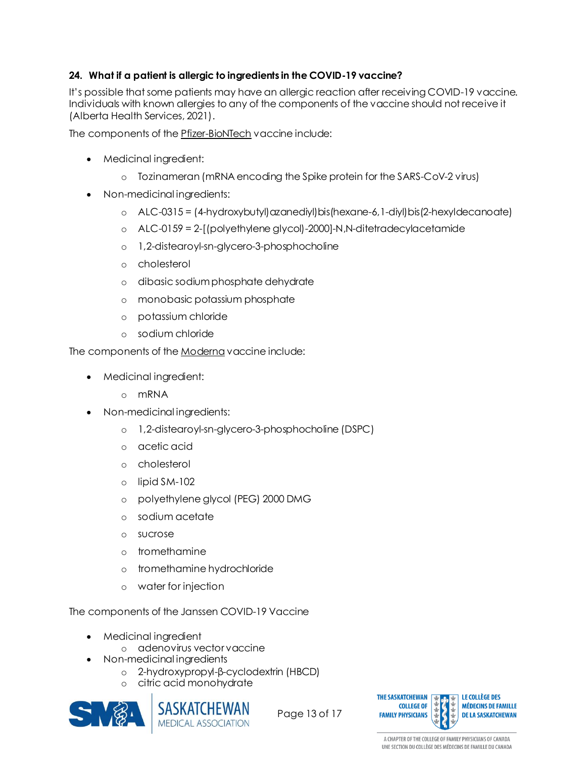#### <span id="page-12-0"></span>**24. What if a patient is allergic to ingredients in the COVID-19 vaccine?**

It's possible that some patients may have an allergic reaction after receiving COVID-19 vaccine. Individuals with known allergies to any of the components of the vaccine should not receive it (Alberta Health Services, 2021).

The components of the [Pfizer-BioNTech](https://www.canada.ca/en/health-canada/services/drugs-health-products/covid19-industry/drugs-vaccines-treatments/vaccines/pfizer-biontech.html) vaccine include:

- Medicinal ingredient:
	- o Tozinameran (mRNA encoding the Spike protein for the SARS-CoV-2 virus)
- Non-medicinal ingredients:
	- $\circ$  ALC-0315 = (4-hydroxybutyl)azanediyl)bis(hexane-6,1-diyl)bis(2-hexyldecanoate)
	- o ALC-0159 = 2-[(polyethylene glycol)-2000]-N,N-ditetradecylacetamide
	- o 1,2-distearoyl-sn-glycero-3-phosphocholine
	- o cholesterol
	- o dibasic sodium phosphate dehydrate
	- o monobasic potassium phosphate
	- o potassium chloride
	- o sodium chloride

The components of the [Moderna](https://www.canada.ca/en/health-canada/services/drugs-health-products/covid19-industry/drugs-vaccines-treatments/vaccines/moderna.html) vaccine include:

- Medicinal ingredient:
	- o mRNA
- Non-medicinal ingredients:
	- o 1,2-distearoyl-sn-glycero-3-phosphocholine (DSPC)
	- o acetic acid
	- o cholesterol
	- o lipid SM-102
	- o polyethylene glycol (PEG) 2000 DMG
	- o sodium acetate
	- o sucrose
	- o tromethamine
	- o tromethamine hydrochloride
	- o water for injection

The components of the Janssen COVID-19 Vaccine

- Medicinal ingredient
	- o adenovirus vector vaccine
- Non-medicinal ingredients
	- o 2-hydroxypropyl-β-cyclodextrin (HBCD)
	- o citric acid monohydrate





Page 13 of 17

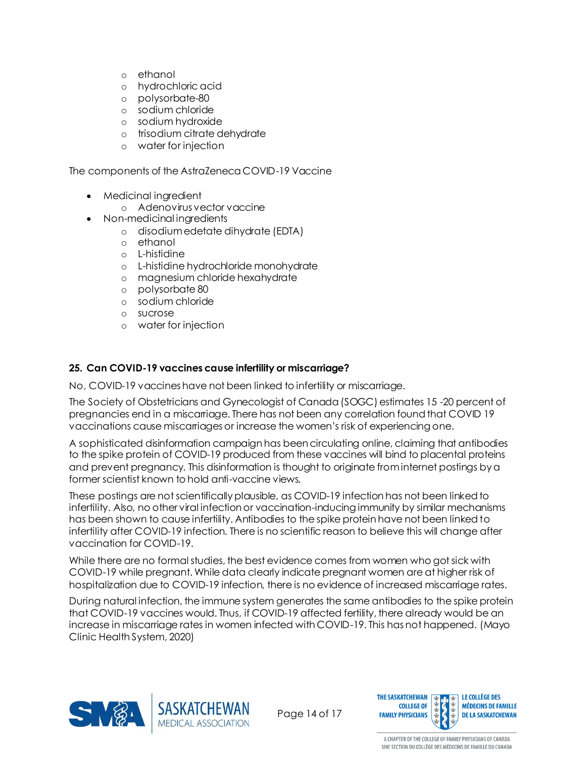- o ethanol
- o hydrochloric acid
- o polysorbate-80
- o sodium chloride
- o sodium hydroxide
- o trisodium citrate dehydrate
- o water for injection

The components of the AstraZeneca COVID-19 Vaccine

- Medicinal ingredient
	- o Adenovirus vector vaccine
- Non-medicinal ingredients
	- o disodium edetate dihydrate (EDTA)
	- o ethanol
	- o L-histidine
	- o L-histidine hydrochloride monohydrate
	- o magnesium chloride hexahydrate
	- o polysorbate 80
	- o sodium chloride
	- o sucrose
	- o water for injection

#### <span id="page-13-0"></span>**25. Can COVID-19 vaccines cause infertility or miscarriage?**

No, COVID-19 vaccines have not been linked to infertility or miscarriage.

The Society of Obstetricians and Gynecologist of Canada (SOGC) estimates 15 -20 percent of pregnancies end in a miscarriage. There has not been any correlation found that COVID 19 vaccinations cause miscarriages or increase the women's risk of experiencing one.

A sophisticated disinformation campaign has been circulating online, claiming that antibodies to the spike protein of COVID-19 produced from these vaccines will bind to placental proteins and prevent pregnancy. This disinformation is thought to originate from internet postings by a former scientist known to hold anti-vaccine views.

These postings are not scientifically plausible, as COVID-19 infection has not been linked to infertility. Also, no other viral infection or vaccination-inducing immunity by similar mechanisms has been shown to cause infertility. Antibodies to the spike protein have not been linked to infertility after COVID-19 infection. There is no scientific reason to believe this will change after vaccination for COVID-19.

While there are no formal studies, the best evidence comes from women who got sick with COVID-19 while pregnant. While data clearly indicate pregnant women are at higher risk of hospitalization due to COVID-19 infection, there is no evidence of increased miscarriage rates.

During natural infection, the immune system generates the same antibodies to the spike protein that COVID-19 vaccines would. Thus, if COVID-19 affected fertility, there already would be an increase in miscarriage rates in women infected with COVID-19. This has not happened. (Mayo Clinic Health System, 2020)



Page 14 of 17

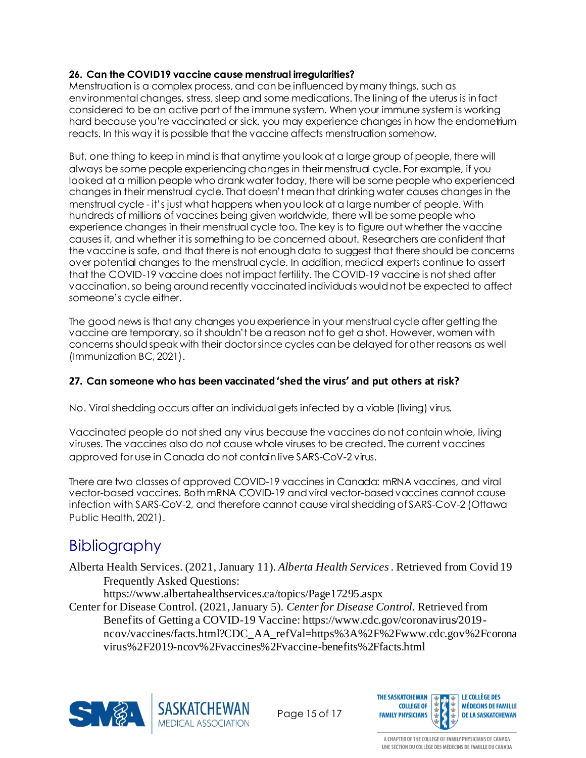#### <span id="page-14-0"></span>**26. Can the COVID19 vaccine cause menstrual irregularities?**

Menstruation is a complex process, and can be influenced by many things, such as environmental changes, stress, sleep and some medications. The lining of the uterus is in fact considered to be an active part of the immune system. When your immune system is working hard because you're vaccinated or sick, you may experience changes in how the endometrium reacts. In this way it is possible that the vaccine affects menstruation somehow.

But, one thing to keep in mind isthat anytime you look at a large group of people, there will always be some people experiencing changes in their menstrual cycle. For example, if you looked at a million people who drank water today, there will be some people who experienced changes in their menstrual cycle. That doesn't mean that drinking water causes changes in the menstrual cycle - it's just what happens when you look at a large number of people. With hundreds of millions of vaccines being given worldwide, there will be some people who experience changes in their menstrual cycle too. The key is to figure out whether the vaccine causes it, and whether it is something to be concerned about. Researchers are confident that the vaccine is safe, and that there is not enough data to suggest that there should be concerns over potential changes to the menstrual cycle. In addition, medical experts continue to assert that the COVID-19 vaccine does not impact fertility. The COVID-19 vaccine is not shed after vaccination, so being around recently vaccinated individuals would not be expected to affect someone's cycle either.

The good news is that any changes you experience in your menstrual cycle after getting the vaccine are temporary, so it shouldn't be a reason not to get a shot. However, women with concerns should speak with their doctor since cycles can be delayed for other reasons as well (Immunization BC, 2021).

#### <span id="page-14-1"></span>**27. Can someone who has been vaccinated 'shed the virus' and put others at risk?**

No. Viral shedding occurs after an individual gets infected by a viable (living) virus.

Vaccinated people do not shed any virus because the vaccines do not contain whole, living viruses. The vaccines also do not cause whole viruses to be created. The current vaccines approved for use in Canada do not contain live SARS-CoV-2 virus.

There are two classes of approved COVID-19 vaccines in Canada: mRNA vaccines, and viral vector-based vaccines. Both mRNA COVID-19 and viral vector-based vaccines cannot cause infection with SARS-CoV-2, and therefore cannot cause viral shedding of SARS-CoV-2 (Ottawa Public Health, 2021).

## Bibliography

Alberta Health Services. (2021, January 11). *Alberta Health Services* . Retrieved from Covid 19 Frequently Asked Questions:

https://www.albertahealthservices.ca/topics/Page17295.aspx

Center for Disease Control. (2021, January 5). *Center for Disease Control*. Retrieved from Benefits of Getting a COVID-19 Vaccine: https://www.cdc.gov/coronavirus/2019 ncov/vaccines/facts.html?CDC\_AA\_refVal=https%3A%2F%2Fwww.cdc.gov%2Fcorona virus%2F2019-ncov%2Fvaccines%2Fvaccine-benefits%2Ffacts.html



Page 15 of 17

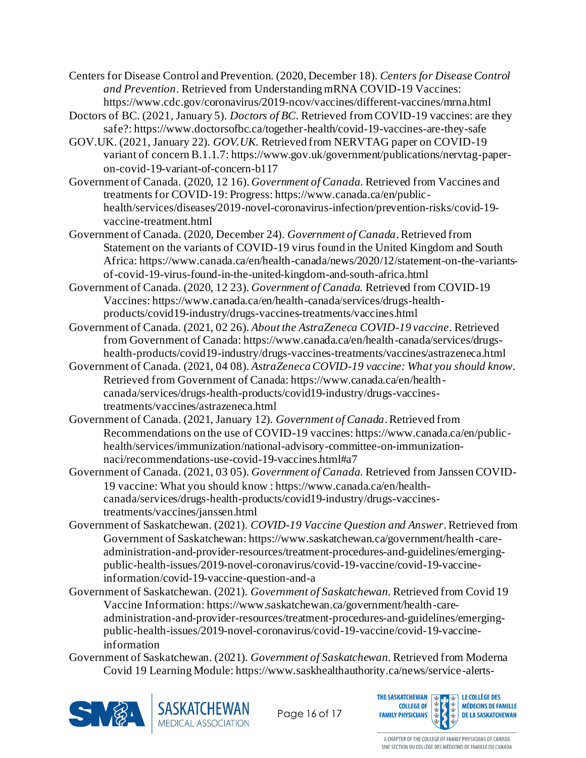Centers for Disease Control and Prevention. (2020, December 18). *Centers for Disease Control and Prevention*. Retrieved from Understanding mRNA COVID-19 Vaccines: https://www.cdc.gov/coronavirus/2019-ncov/vaccines/different-vaccines/mrna.html

Doctors of BC. (2021, January 5). *Doctors of BC*. Retrieved from COVID-19 vaccines: are they safe?: https://www.doctorsofbc.ca/together-health/covid-19-vaccines-are-they-safe

- GOV.UK. (2021, January 22). *GOV.UK.* Retrieved from NERVTAG paper on COVID-19 variant of concern B.1.1.7: https://www.gov.uk/government/publications/nervtag-paperon-covid-19-variant-of-concern-b117
- Government of Canada. (2020, 12 16). *Government of Canada*. Retrieved from Vaccines and treatments for COVID-19: Progress: https://www.canada.ca/en/publichealth/services/diseases/2019-novel-coronavirus-infection/prevention-risks/covid-19 vaccine-treatment.html
- Government of Canada. (2020, December 24). *Government of Canada*. Retrieved from Statement on the variants of COVID-19 virus found in the United Kingdom and South Africa: https://www.canada.ca/en/health-canada/news/2020/12/statement-on-the-variantsof-covid-19-virus-found-in-the-united-kingdom-and-south-africa.html
- Government of Canada. (2020, 12 23). *Government of Canada.* Retrieved from COVID-19 Vaccines: https://www.canada.ca/en/health-canada/services/drugs-healthproducts/covid19-industry/drugs-vaccines-treatments/vaccines.html
- Government of Canada. (2021, 02 26). *About the AstraZeneca COVID-19 vaccine*. Retrieved from Government of Canada: https://www.canada.ca/en/health-canada/services/drugshealth-products/covid19-industry/drugs-vaccines-treatments/vaccines/astrazeneca.html
- Government of Canada. (2021, 04 08). *AstraZeneca COVID-19 vaccine: What you should know*. Retrieved from Government of Canada: https://www.canada.ca/en/healthcanada/services/drugs-health-products/covid19-industry/drugs-vaccinestreatments/vaccines/astrazeneca.html
- Government of Canada. (2021, January 12). *Government of Canada*. Retrieved from Recommendations on the use of COVID-19 vaccines: https://www.canada.ca/en/publichealth/services/immunization/national-advisory-committee-on-immunizationnaci/recommendations-use-covid-19-vaccines.html#a7
- Government of Canada. (2021, 03 05). *Government of Canada*. Retrieved from Janssen COVID-19 vaccine: What you should know : https://www.canada.ca/en/healthcanada/services/drugs-health-products/covid19-industry/drugs-vaccinestreatments/vaccines/janssen.html
- Government of Saskatchewan. (2021). *COVID-19 Vaccine Question and Answer*. Retrieved from Government of Saskatchewan: https://www.saskatchewan.ca/government/health-careadministration-and-provider-resources/treatment-procedures-and-guidelines/emergingpublic-health-issues/2019-novel-coronavirus/covid-19-vaccine/covid-19-vaccineinformation/covid-19-vaccine-question-and-a
- Government of Saskatchewan. (2021). *Government of Saskatchewan*. Retrieved from Covid 19 Vaccine Information: https://www.saskatchewan.ca/government/health-careadministration-and-provider-resources/treatment-procedures-and-guidelines/emergingpublic-health-issues/2019-novel-coronavirus/covid-19-vaccine/covid-19-vaccineinformation
- Government of Saskatchewan. (2021). *Government of Saskatchewan*. Retrieved from Moderna Covid 19 Learning Module: https://www.saskhealthauthority.ca/news/service-alerts-





Page 16 of 17